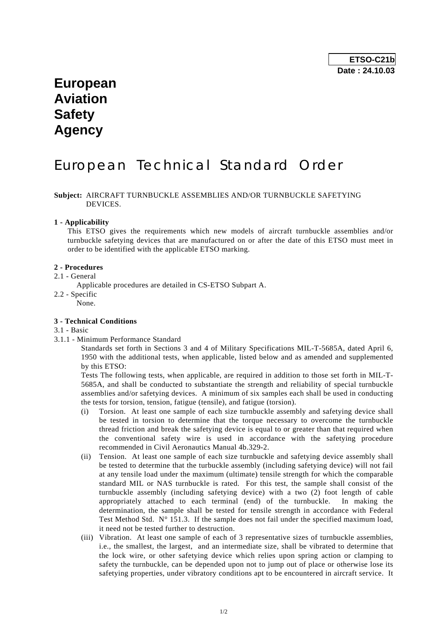# **European Aviation Safety Agency**

# European Technical Standard Order

# **Subject:** AIRCRAFT TURNBUCKLE ASSEMBLIES AND/OR TURNBUCKLE SAFETYING DEVICES.

### **1 - Applicability**

 This ETSO gives the requirements which new models of aircraft turnbuckle assemblies and/or turnbuckle safetying devices that are manufactured on or after the date of this ETSO must meet in order to be identified with the applicable ETSO marking.

#### **2 - Procedures**

- 2.1 General
	- Applicable procedures are detailed in CS-ETSO Subpart A.
- 2.2 Specific None.

### **3 - Technical Conditions**

#### 3.1 - Basic

3.1.1 - Minimum Performance Standard

 Standards set forth in Sections 3 and 4 of Military Specifications MIL-T-5685A, dated April 6, 1950 with the additional tests, when applicable, listed below and as amended and supplemented by this ETSO:

 Tests The following tests, when applicable, are required in addition to those set forth in MIL-T-5685A, and shall be conducted to substantiate the strength and reliability of special turnbuckle assemblies and/or safetying devices. A minimum of six samples each shall be used in conducting the tests for torsion, tension, fatigue (tensile), and fatigue (torsion).

- (i) Torsion. At least one sample of each size turnbuckle assembly and safetying device shall be tested in torsion to determine that the torque necessary to overcome the turnbuckle thread friction and break the safetying device is equal to or greater than that required when the conventional safety wire is used in accordance with the safetying procedure recommended in Civil Aeronautics Manual 4b.329-2.
- (ii) Tension. At least one sample of each size turnbuckle and safetying device assembly shall be tested to determine that the turbuckle assembly (including safetying device) will not fail at any tensile load under the maximum (ultimate) tensile strength for which the comparable standard MIL or NAS turnbuckle is rated. For this test, the sample shall consist of the turnbuckle assembly (including safetying device) with a two (2) foot length of cable appropriately attached to each terminal (end) of the turnbuckle. In making the determination, the sample shall be tested for tensile strength in accordance with Federal Test Method Std.  $N^{\circ}$  151.3. If the sample does not fail under the specified maximum load, it need not be tested further to destruction.
- (iii) Vibration. At least one sample of each of 3 representative sizes of turnbuckle assemblies, i.e., the smallest, the largest, and an intermediate size, shall be vibrated to determine that the lock wire, or other safetying device which relies upon spring action or clamping to safety the turnbuckle, can be depended upon not to jump out of place or otherwise lose its safetying properties, under vibratory conditions apt to be encountered in aircraft service. It